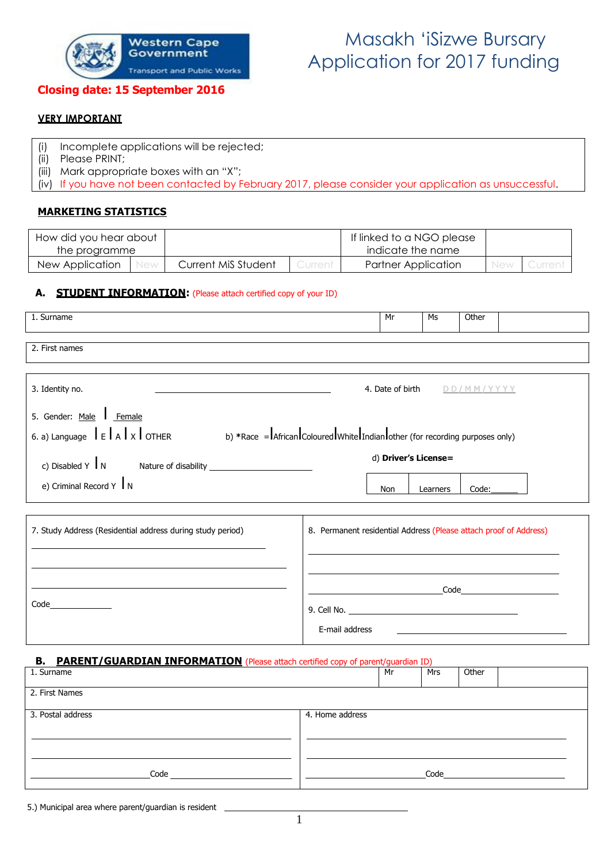

# western Cape Masakh 'iSizwe Bursary<br>Government Government **Application** for 2017 funding

### **Closing date: 15 September 2016**

### **VERY IMPORTANT**

- (i) Incomplete applications will be rejected;
- (ii) Please PRINT;
- (iii) Mark appropriate boxes with an "X";

(iv) If you have not been contacted by February 2017, please consider your application as unsuccessful.

### **MARKETING STATISTICS**

| How did you hear about |                     |           | If linked to a NGO please  |            |  |
|------------------------|---------------------|-----------|----------------------------|------------|--|
| the programme          |                     |           | indicate the name          |            |  |
| New Application        | Current MiS Student | Jurrent i | <b>Partner Application</b> | <b>New</b> |  |

#### **A. STUDENT INFORMATION:** (Please attach certified copy of your ID)

| 1. Surname                                                                                                                                                                                                                                       |                                                                   | Mr                          | Ms       | Other |                                                                                                                                                                                                                                     |
|--------------------------------------------------------------------------------------------------------------------------------------------------------------------------------------------------------------------------------------------------|-------------------------------------------------------------------|-----------------------------|----------|-------|-------------------------------------------------------------------------------------------------------------------------------------------------------------------------------------------------------------------------------------|
| 2. First names                                                                                                                                                                                                                                   |                                                                   |                             |          |       |                                                                                                                                                                                                                                     |
|                                                                                                                                                                                                                                                  |                                                                   |                             |          |       |                                                                                                                                                                                                                                     |
| 3. Identity no.<br>the control of the control of the control of the control of the control of the control of the control of the control of the control of the control of the control of the control of the control of the control of the control |                                                                   | 4. Date of birth DD/MM/YYYY |          |       |                                                                                                                                                                                                                                     |
| 5. Gender: Male   Female                                                                                                                                                                                                                         |                                                                   |                             |          |       |                                                                                                                                                                                                                                     |
| 6. a) Language $\int_{E}  A  \times \int_{0}$ OTHER b) *Race = African Coloured White Indian other (for recording purposes only)                                                                                                                 |                                                                   |                             |          |       |                                                                                                                                                                                                                                     |
|                                                                                                                                                                                                                                                  |                                                                   | d) Driver's License=        |          |       |                                                                                                                                                                                                                                     |
| e) Criminal Record Y $\mathbf{I}$ N                                                                                                                                                                                                              |                                                                   | Non                         | Learners | Code: |                                                                                                                                                                                                                                     |
|                                                                                                                                                                                                                                                  |                                                                   |                             |          |       |                                                                                                                                                                                                                                     |
| 7. Study Address (Residential address during study period)                                                                                                                                                                                       | 8. Permanent residential Address (Please attach proof of Address) |                             |          |       |                                                                                                                                                                                                                                     |
|                                                                                                                                                                                                                                                  |                                                                   |                             |          |       |                                                                                                                                                                                                                                     |
|                                                                                                                                                                                                                                                  |                                                                   |                             |          |       | <u>Code</u> and the Code of the Code of the Code of the Code of the Code of the Code of the Code of the Code of the Code of the Code of the Code of the Code of the Code of the Code of the Code of the Code of the Code of the Cod |
|                                                                                                                                                                                                                                                  |                                                                   |                             |          |       |                                                                                                                                                                                                                                     |
|                                                                                                                                                                                                                                                  | E-mail address                                                    |                             |          |       |                                                                                                                                                                                                                                     |
| <b>PARENT/GUARDIAN INFORMATION</b> (Please attach certified copy of parent/guardian ID)<br>В.                                                                                                                                                    |                                                                   |                             |          |       |                                                                                                                                                                                                                                     |
| 1. Surname                                                                                                                                                                                                                                       |                                                                   | Mr                          | Mrs      | Other |                                                                                                                                                                                                                                     |

| <b>L.</b> Juliano |                 | -11.11 | .    | <b>VUILI</b> |  |
|-------------------|-----------------|--------|------|--------------|--|
| 2. First Names    |                 |        |      |              |  |
| 3. Postal address | 4. Home address |        |      |              |  |
|                   |                 |        |      |              |  |
|                   |                 |        |      |              |  |
|                   |                 |        |      |              |  |
|                   |                 |        |      |              |  |
| Code              |                 |        | Code |              |  |

5.) Municipal area where parent/guardian is resident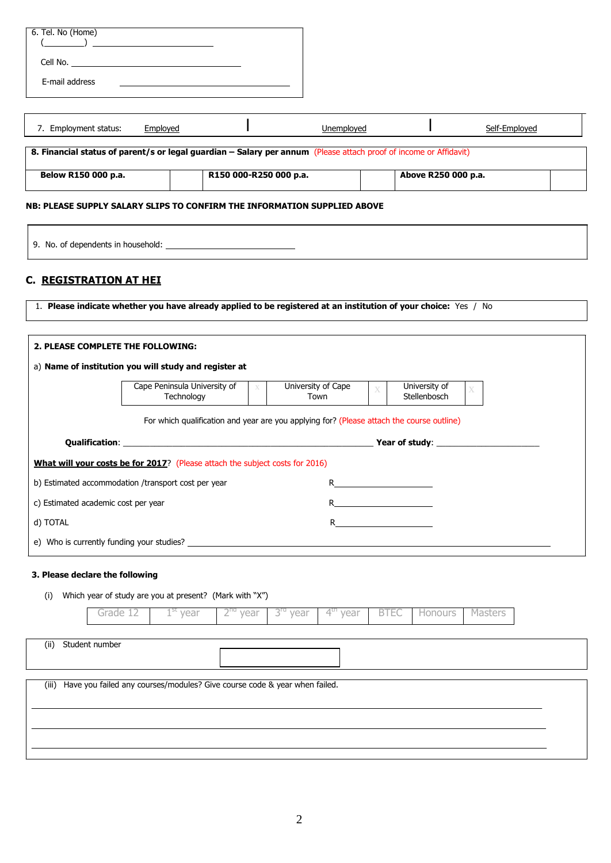| 6. Tel. No (Home)<br>$\frac{1}{2}$ $\frac{1}{2}$ $\frac{1}{2}$ $\frac{1}{2}$ $\frac{1}{2}$ $\frac{1}{2}$ $\frac{1}{2}$ $\frac{1}{2}$ $\frac{1}{2}$ $\frac{1}{2}$ $\frac{1}{2}$ $\frac{1}{2}$ $\frac{1}{2}$ $\frac{1}{2}$ $\frac{1}{2}$ $\frac{1}{2}$ $\frac{1}{2}$ $\frac{1}{2}$ $\frac{1}{2}$ $\frac{1}{2}$ $\frac{1}{2}$ $\frac{1}{2}$ |          |                                                                                           |                        |                      |                      |                |                     |               |  |
|------------------------------------------------------------------------------------------------------------------------------------------------------------------------------------------------------------------------------------------------------------------------------------------------------------------------------------------|----------|-------------------------------------------------------------------------------------------|------------------------|----------------------|----------------------|----------------|---------------------|---------------|--|
|                                                                                                                                                                                                                                                                                                                                          |          |                                                                                           |                        |                      |                      |                |                     |               |  |
|                                                                                                                                                                                                                                                                                                                                          |          |                                                                                           |                        |                      |                      |                |                     |               |  |
| E-mail address                                                                                                                                                                                                                                                                                                                           |          |                                                                                           |                        |                      |                      |                |                     |               |  |
|                                                                                                                                                                                                                                                                                                                                          |          |                                                                                           |                        |                      |                      |                |                     |               |  |
| 7. Employment status:                                                                                                                                                                                                                                                                                                                    |          | Employed                                                                                  |                        |                      | Unemployed           |                |                     | Self-Employed |  |
| 8. Financial status of parent/s or legal guardian - Salary per annum (Please attach proof of income or Affidavit)                                                                                                                                                                                                                        |          |                                                                                           |                        |                      |                      |                |                     |               |  |
| Below R150 000 p.a.                                                                                                                                                                                                                                                                                                                      |          |                                                                                           | R150 000-R250 000 p.a. |                      |                      |                | Above R250 000 p.a. |               |  |
| NB: PLEASE SUPPLY SALARY SLIPS TO CONFIRM THE INFORMATION SUPPLIED ABOVE                                                                                                                                                                                                                                                                 |          |                                                                                           |                        |                      |                      |                |                     |               |  |
|                                                                                                                                                                                                                                                                                                                                          |          |                                                                                           |                        |                      |                      |                |                     |               |  |
|                                                                                                                                                                                                                                                                                                                                          |          |                                                                                           |                        |                      |                      |                |                     |               |  |
|                                                                                                                                                                                                                                                                                                                                          |          |                                                                                           |                        |                      |                      |                |                     |               |  |
| <b>C. REGISTRATION AT HEI</b>                                                                                                                                                                                                                                                                                                            |          |                                                                                           |                        |                      |                      |                |                     |               |  |
| 1. Please indicate whether you have already applied to be registered at an institution of your choice: Yes / No                                                                                                                                                                                                                          |          |                                                                                           |                        |                      |                      |                |                     |               |  |
|                                                                                                                                                                                                                                                                                                                                          |          |                                                                                           |                        |                      |                      |                |                     |               |  |
| 2. PLEASE COMPLETE THE FOLLOWING:                                                                                                                                                                                                                                                                                                        |          |                                                                                           |                        |                      |                      |                |                     |               |  |
| a) Name of institution you will study and register at                                                                                                                                                                                                                                                                                    |          |                                                                                           |                        |                      |                      |                |                     |               |  |
|                                                                                                                                                                                                                                                                                                                                          |          | Cape Peninsula University of                                                              | $\bar{X}$              |                      | University of Cape   |                | University of       |               |  |
|                                                                                                                                                                                                                                                                                                                                          |          | Technology                                                                                |                        |                      | Town                 | $\overline{X}$ | Stellenbosch        |               |  |
|                                                                                                                                                                                                                                                                                                                                          |          | For which qualification and year are you applying for? (Please attach the course outline) |                        |                      |                      |                |                     |               |  |
|                                                                                                                                                                                                                                                                                                                                          |          | <b>Qualification:</b> Network of Study:                                                   |                        |                      |                      |                |                     |               |  |
| What will your costs be for 2017? (Please attach the subject costs for 2016)                                                                                                                                                                                                                                                             |          |                                                                                           |                        |                      |                      |                |                     |               |  |
| b) Estimated accommodation /transport cost per year                                                                                                                                                                                                                                                                                      |          |                                                                                           |                        |                      |                      |                |                     |               |  |
| c) Estimated academic cost per year<br><u> 1990 - Johann Barbara, martin a</u>                                                                                                                                                                                                                                                           |          |                                                                                           |                        |                      |                      |                |                     |               |  |
| d) TOTAL                                                                                                                                                                                                                                                                                                                                 |          |                                                                                           |                        |                      | R.                   |                |                     |               |  |
|                                                                                                                                                                                                                                                                                                                                          |          |                                                                                           |                        |                      |                      |                |                     |               |  |
|                                                                                                                                                                                                                                                                                                                                          |          |                                                                                           |                        |                      |                      |                |                     |               |  |
| 3. Please declare the following                                                                                                                                                                                                                                                                                                          |          |                                                                                           |                        |                      |                      |                |                     |               |  |
| (i)                                                                                                                                                                                                                                                                                                                                      |          | Which year of study are you at present? (Mark with "X")                                   |                        |                      |                      |                |                     |               |  |
|                                                                                                                                                                                                                                                                                                                                          | Grade 12 | $1^\text{st}$ year                                                                        | 2 <sup>na</sup> year   | 3 <sup>ra</sup> year | 4 <sup>th</sup> year | <b>BTEC</b>    | <b>Honours</b>      | Masters       |  |

(ii) Student number (iii) Have you failed any courses/modules? Give course code & year when failed.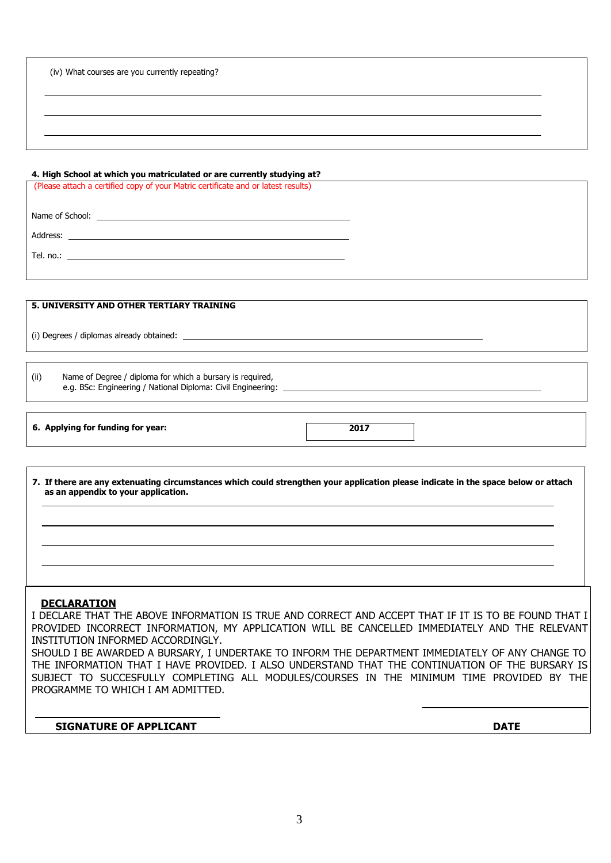| (iv) What courses are you currently repeating? |  |
|------------------------------------------------|--|
|                                                |  |

#### **4. High School at which you matriculated or are currently studying at?**

(Please attach a certified copy of your Matric certificate and or latest results)

Name of School:

Address:

Tel. no.:

**5. UNIVERSITY AND OTHER TERTIARY TRAINING**

(i) Degrees / diplomas already obtained:

(ii) Name of Degree / diploma for which a bursary is required, e.g. BSc: Engineering / National Diploma: Civil Engineering:

**6. Applying for funding for year: 2017**

7. If there are any extenuating circumstances which could strengthen your application please indicate in the space below or attach **as an appendix to your application.**

#### **DECLARATION**

I DECLARE THAT THE ABOVE INFORMATION IS TRUE AND CORRECT AND ACCEPT THAT IF IT IS TO BE FOUND THAT I PROVIDED INCORRECT INFORMATION, MY APPLICATION WILL BE CANCELLED IMMEDIATELY AND THE RELEVANT INSTITUTION INFORMED ACCORDINGLY.

SHOULD I BE AWARDED A BURSARY, I UNDERTAKE TO INFORM THE DEPARTMENT IMMEDIATELY OF ANY CHANGE TO THE INFORMATION THAT I HAVE PROVIDED. I ALSO UNDERSTAND THAT THE CONTINUATION OF THE BURSARY IS SUBJECT TO SUCCESFULLY COMPLETING ALL MODULES/COURSES IN THE MINIMUM TIME PROVIDED BY THE PROGRAMME TO WHICH I AM ADMITTED.

**SIGNATURE OF APPLICANT DATE**